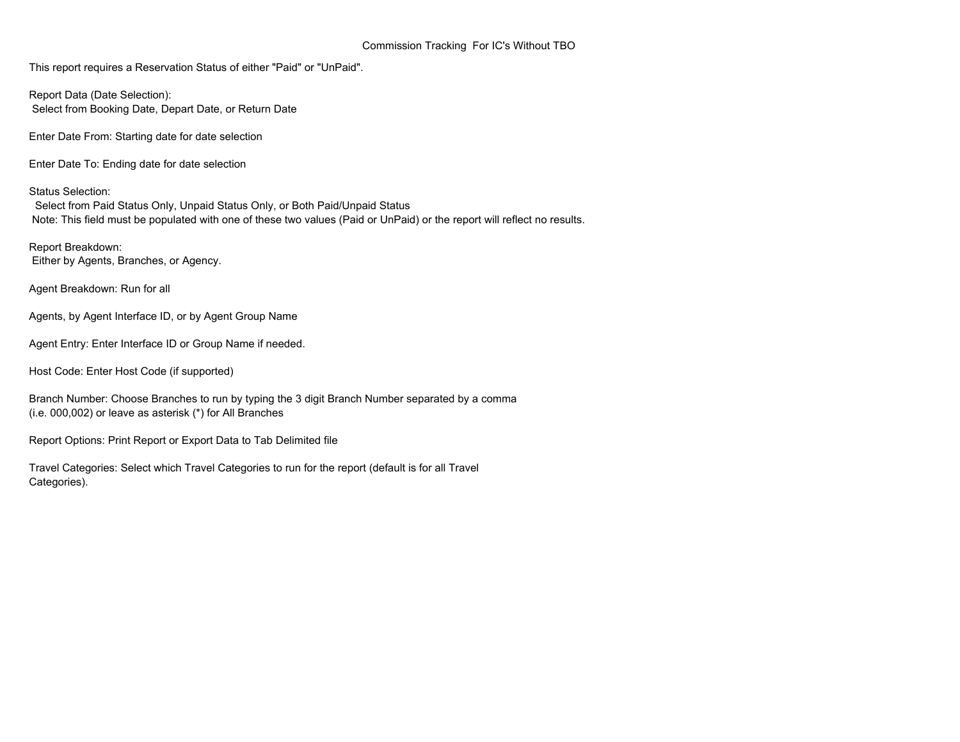## Commission Tracking For IC's Without TBO

This report requires a Reservation Status of either "Paid" or "UnPaid".

Report Data (Date Selection): Select from Booking Date, Depart Date, or Return Date

Enter Date From: Starting date for date selection

Enter Date To: Ending date for date selection

Status Selection:

 Select from Paid Status Only, Unpaid Status Only, or Both Paid/Unpaid Status Note: This field must be populated with one of these two values (Paid or UnPaid) or the report will reflect no results.

Report Breakdown: Either by Agents, Branches, or Agency.

Agent Breakdown: Run for all

Agents, by Agent Interface ID, or by Agent Group Name

Agent Entry: Enter Interface ID or Group Name if needed.

Host Code: Enter Host Code (if supported)

Branch Number: Choose Branches to run by typing the 3 digit Branch Number separated by a comma (i.e. 000,002) or leave as asterisk (\*) for All Branches

Report Options: Print Report or Export Data to Tab Delimited file

Travel Categories: Select which Travel Categories to run for the report (default is for all Travel Categories).